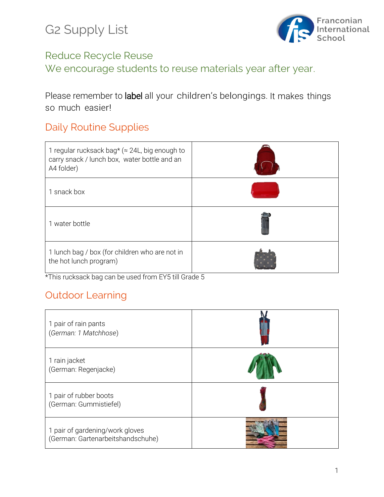G2 Supply List



#### Reduce Recycle Reuse

We encourage students to reuse materials year after year.

Please remember to label all your children's belongings. It makes things so much easier!

## Daily Routine Supplies

| 1 regular rucksack bag* ( $\approx$ 24L, big enough to<br>carry snack / lunch box, water bottle and an<br>A4 folder) |  |
|----------------------------------------------------------------------------------------------------------------------|--|
| 1 snack box                                                                                                          |  |
| 1 water bottle                                                                                                       |  |
| 1 lunch bag / box (for children who are not in<br>the hot lunch program)                                             |  |

\*This rucksack bag can be used from EY5 till Grade 5

# Outdoor Learning

| 1 pair of rain pants<br>(German: 1 Matchhose)                        |  |
|----------------------------------------------------------------------|--|
| 1 rain jacket<br>(German: Regenjacke)                                |  |
| 1 pair of rubber boots<br>(German: Gummistiefel)                     |  |
| 1 pair of gardening/work gloves<br>(German: Gartenarbeitshandschuhe) |  |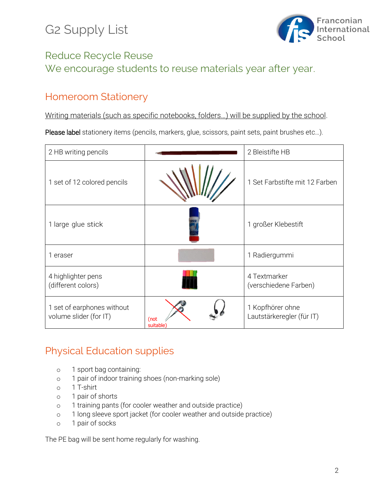# G2 Supply List



### Reduce Recycle Reuse We encourage students to reuse materials year after year.

#### Homeroom Stationery

Writing materials (such as specific notebooks, folders…) will be supplied by the school.

Please label stationery items (pencils, markers, glue, scissors, paint sets, paint brushes etc...).

| 2 HB writing pencils                                 |                  | 2 Bleistifte HB                               |
|------------------------------------------------------|------------------|-----------------------------------------------|
| 1 set of 12 colored pencils                          |                  | 1 Set Farbstifte mit 12 Farben                |
| 1 large glue stick                                   |                  | 1 großer Klebestift                           |
| 1 eraser                                             |                  | 1 Radiergummi                                 |
| 4 highlighter pens<br>(different colors)             |                  | 4 Textmarker<br>(verschiedene Farben)         |
| 1 set of earphones without<br>volume slider (for IT) | (not<br>suitable | 1 Kopfhörer ohne<br>Lautstärkeregler (für IT) |

### Physical Education supplies

- o 1 sport bag containing:
- o 1 pair of indoor training shoes (non-marking sole)
- o 1 T-shirt
- o 1 pair of shorts
- o 1 training pants (for cooler weather and outside practice)
- o 1 long sleeve sport jacket (for cooler weather and outside practice)
- o 1 pair of socks

The PE bag will be sent home regularly for washing.